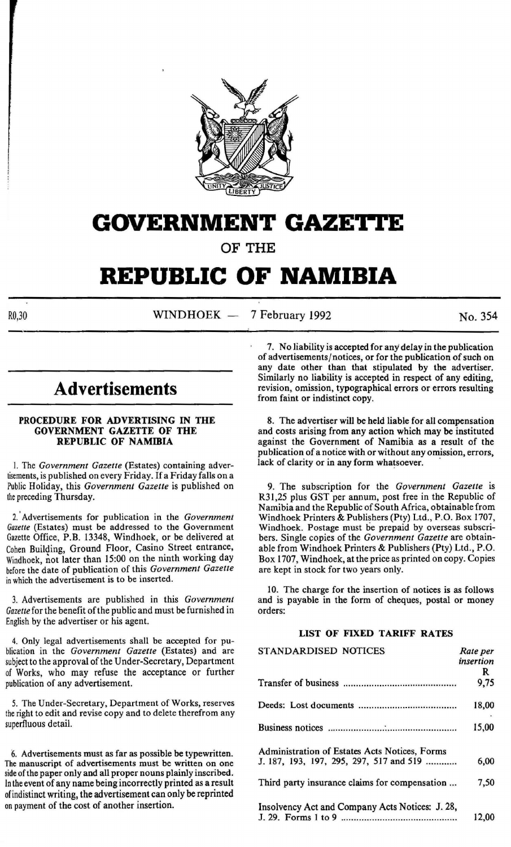

## **GOVERNMENT GAZE'J•tE**

OF THE

# **REPUBLIC OF NAMIBIA**

 $R0,30$  WINDHOEK - 7 February 1992 No. 354

## **Advertisements**

## PROCEDURE FOR ADVERTISING IN THE GOVERNMENT GAZETTE OF THE REPUBLIC OF NAMIBIA

I. The *Government Gazette* (Estates) containing advertisements, is published on every Friday. If a Friday falls on a Public Holiday, this *Government Gazette* is published on the preceding Thursday.

2. 'Advertisements for publication in the *Government Gazette* (Estates) must be addressed to the Government Gazette Office, P.B. 13348, Windhoek, or be delivered at Cohen Building, Ground Floor, Casino Street entrance, Windhoek, not later than 15:00 on the ninth working day before the date of publication of this *Government Gazette*  in which the advertisement is to be inserted.

3. Advertisements are published in this *Government Gazette* for the benefit of the public and must be furnished in English by the advertiser or his agent.

4. Only legal advertisements shall be accepted for publication in the *Government Gazette* (Estates) and are subject to the approval of the Under-Secretary, Department of Works, who may refuse the acceptance or further publication of any advertisement.

5. The Under-Secretary, Department of Works, reserves the right to edit and revise copy and to delete therefrom any superfluous detail.

6. Advertisements must as far as possible be typewritten. side of the paper only and all proper nouns plainly inscribed. In the event of any name being incorrectly printed as a result of indistinct writing, the advertisement can only be reprinted on payment of the cost of another insertion.

7. No liability is accepted for any delay in the publication of advertisements/ notices, or for the publication of such on any date other than that stipulated by the advertiser. Similarly no liability is accepted in respect of any editing, revision, omission, typographical errors or errors resulting from faint or indistinct copy.

8. The advertiser will be held liable for all compensation and costs arising from any action which may be instituted against the Government of Namibia as a result of the publication of a notice with or without any omission, errors, lack of clarity or in any form whatsoever.

9. The subscription for the *Government Gazette* is R31,25 plus GST per annum, post free in the Republic of Namibia and the Republic of South Africa, obtainable from Windhoek Printers & Publishers (Pty) Ltd., P.O. Box 1707, Windhoek. Postage must be prepaid by overseas subscribers. Single copies of the *Government Gazette* are obtainable from Windhoek Printers & Publishers (Pty) Ltd., P.O. Box 1707, Windhoek, at the price as printed on copy. Copies are kept in stock for two years only.

10. The charge for the insertion of notices is as follows and is payable in the form of cheques, postal or money orders:

## LIST OF FIXED TARIFF RATES

| STANDARDISED NOTICES                            | Rate per  |
|-------------------------------------------------|-----------|
|                                                 | insertion |
|                                                 | R         |
|                                                 | 9,75      |
|                                                 | 18,00     |
|                                                 | 15,00     |
| Administration of Estates Acts Notices, Forms   |           |
| J. 187, 193, 197, 295, 297, 517 and 519         | 6,00      |
| Third party insurance claims for compensation   | 7,50      |
| Insolvency Act and Company Acts Notices: J. 28, |           |
|                                                 | 12.00     |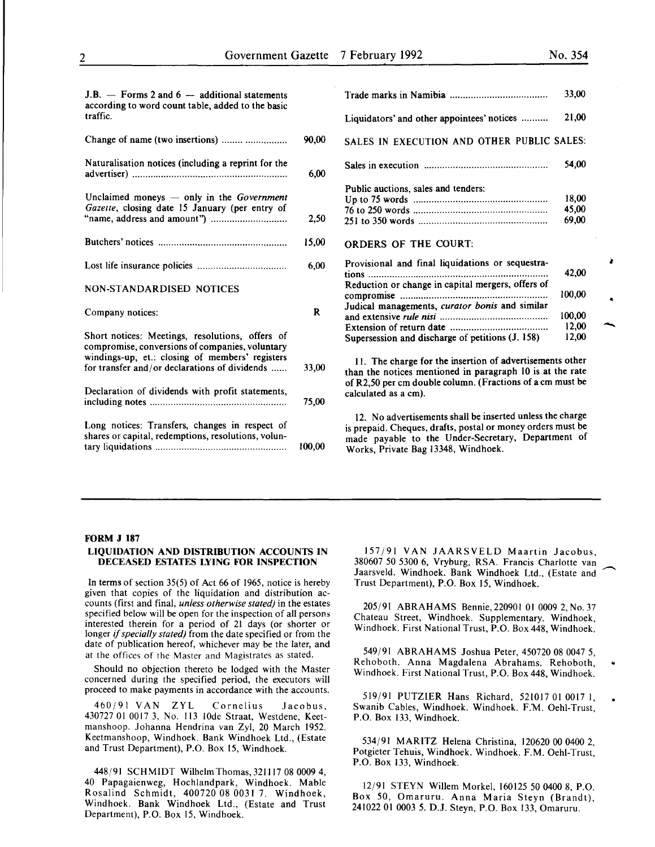100,00 12,00 12,00

..

-

 $J.B. -$  Forms 2 and 6 - additional statements according to word count table, added to the basic traffic.

| Change of name (two insertions)                                                                                                                       | 90,00 |
|-------------------------------------------------------------------------------------------------------------------------------------------------------|-------|
| Naturalisation notices (including a reprint for the                                                                                                   | 6,00  |
| Unclaimed moneys $-$ only in the Government<br>Gazette, closing date 15 January (per entry of                                                         | 2,50  |
|                                                                                                                                                       | 15,00 |
|                                                                                                                                                       | 6,00  |
| <b>NON-STANDARDISED NOTICES</b>                                                                                                                       |       |
|                                                                                                                                                       |       |
| Company notices:                                                                                                                                      | R     |
| Short notices: Meetings, resolutions, offers of<br>compromise, conversions of companies, voluntary<br>windings-up, et.: closing of members' registers |       |
| for transfer and/or declarations of dividends                                                                                                         | 33,00 |
| Declaration of dividends with profit statements,                                                                                                      | 75,00 |

|                                                   | 33,00  |
|---------------------------------------------------|--------|
| Liquidators' and other appointees' notices        | 21,00  |
| SALES IN EXECUTION AND OTHER PUBLIC SALES:        |        |
|                                                   | 54.00  |
| Public auctions, sales and tenders:               |        |
|                                                   | 18,00  |
|                                                   |        |
|                                                   | 45.00  |
|                                                   | 69,00  |
| ORDERS OF THE COURT:                              |        |
| Provisional and final liquidations or sequestra-  |        |
|                                                   | 42.00  |
| Reduction or change in capital mergers, offers of |        |
|                                                   | 100,00 |
| Judical managements, curator bonis and similar    |        |
|                                                   |        |

II. The charge for the insertion of advertisements other than the notices mentioned in paragraph 10 is at the rate of R2,50 per em double column. (Fractions of a em must be calculated as a em).

and extensive *rule nisi* ........................................ . Extension of return date .................................... . Supersession and discharge of petitions (J. 158)

12. No advertisements shall be inserted unless the charge is prepaid. Cheques, drafts, postal or money orders must be made payable to the Under-Secretary, Department of Works, Private Bag 13348, Windhoek.

### FORM J 187

### LIQUIDATION AND DISTRIBUTION ACCOUNTS IN DECEASED ESTATES LYING FOR INSPECTION

In terms of section 35(5) of Act 66 of 1965, notice is hereby given that copies of the liquidation and distribution accounts (first and final, *unless otherwise stated)* in the estates specified below will be open for the inspection of all persons interested therein for a period of 21 days (or shorter or longer if *specially stated)* from the date specified or from the date of publication hereof, whichever may be the later, and at the offices of the Master and Magistrates as stated.

Should no objection thereto be lodged with the Master concerned during the specified period, the executors will proceed to make payments in accordance with the accounts.

460/91 VAN ZYL Cornelius Jacobus, 430727 01 0017 3, No. 113 lOde Straat, Westdene, Keetmanshoop. Johanna Hendrina van Zyl, 20 March 1952. Keetmanshoop, Windhoek. Bank Windhoek Ltd., (Estate and Trust Department), P.O. Box 15, Windhoek.

448/91 SCHMIDT Wilhelm Thomas, 321117 08 0009 4, 40 Papagaienweg, Hochlandpark, Windhoek. Mable Rosalind Schmidt, 400720 08 0031 7. Windhoek, Windhoek. Bank Windhoek Ltd., (Estate and Trust Department), P.O. Box 15, Windhoek.

157/91 VAN JAARSVELD Maartin Jacobus, 380607 50 5300 6, Vryburg, RSA. Francis Charlotte van Jaarsveld. Windhoek. Bank Windhoek Ltd., (Estate and Trust Department), P.O. Box 15, Windhoek.

205/91 ABRAHAMS Bennie, 220901 01 0009 2, No. 37 Chateau Street, Windhoek. Supplementary. Windhoek, Windhoek. First National Trust, P.O. Box 448, Windhoek.

549/91 ABRAHAMS Joshua Peter, 450720 08 0047 5, Rehoboth. Anna Magdalena Abrahams. Rehoboth, Windhoek. First National Trust, P.O. Box 448, Windhoek. ..

519/91 PUTZIER Hans Richard, 521017 01 0017 I, Swanib Cables, Windhoek. Windhoek. F.M. Oehl-Trust, P.O. Box 133, Windhoek.

534/91 MARITZ Helena Christina, 120620 00 0400 2, Potgieter Tehuis, Windhoek. Windhoek. F.M. Oehl-Trust, P.O. Box 133, Windhoek.

12/91 STEYN Willem Morkel, 160125 50 0400 8, P.O. Box 50, Omaruru. Anna Maria Steyn (Brandt), 241022 01 0003 5. D.J. Steyn, P.O. Box 133, Omaruru.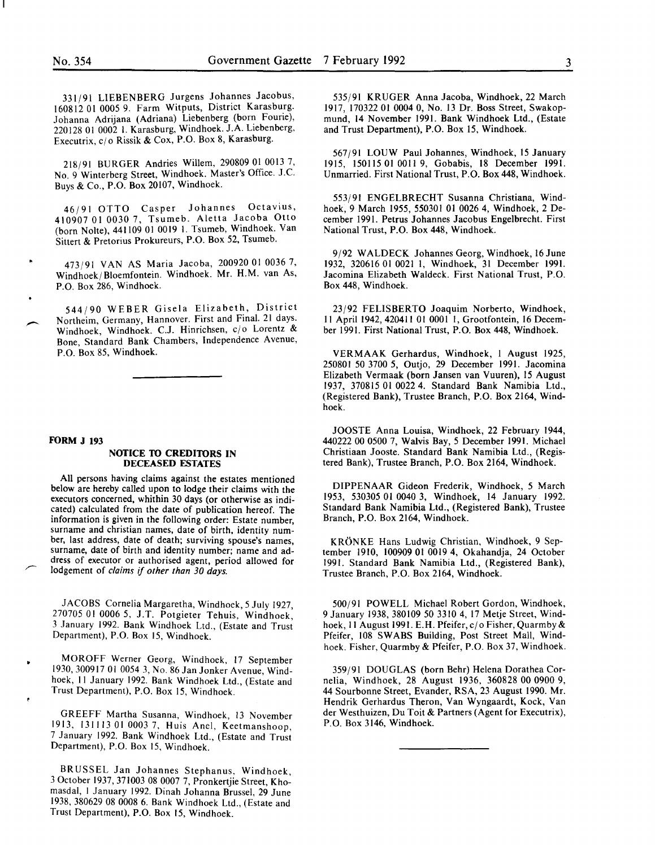331/91 LIESENBERG Jurgens Johannes Jacobus, 160812 01 0005 9. Farm Witputs, District Karasburg. Johanna Adrijana (Adriana) Liebenberg (born Fourie), 220128 01 0002 I. Karasburg, Windhoek. J.A. Liebenberg, Executrix, c/o Rissik & Cox, P.O. Box 8, Karasburg.

218/91 BURGER Andries Willem, 290809 01 0013 7, No. 9 Winterberg Street, Windhoek. Master's Office. J.C. Buys & Co., P.O. Box 20107, Windhoek.

46/91 OTTO Casper Johannes Octavius, 410907 01 0030 7, Tsumeb. Aletta Jacoba Otto (born Nolte), 441109 01 0019 I. Tsumeb, Windhoek. Van Sittert & Pretorius Prokureurs, P.O. Box 52, Tsumeb.

473/91 VAN AS Maria Jacoba, 200920 01 0036 7, Windhoek/Bloemfontein. Windhoek. Mr. H.M. van As, P.O. Box 286, Windhoek.

544/90 WEBER Gisela Elizabeth, District Northeim, Germany, Hannover. First and Final. 21 days. Windhoek, Windhoek. C.J. Hinrichsen, c/o Lorentz & Bone, Standard Bank Chambers, Independence Avenue, P.O. Box 85, Windhoek.

#### **FORM J 193**

## **NOTICE TO CREDITORS IN DECEASED ESTATES**

All persons having claims against the estates mentioned below are hereby called upon to lodge their claims with the executors concerned, whithin 30 days (or otherwise as indicated) calculated from the date of publication hereof. The information is given in the following order: Estate number, surname and christian names, date of birth, identity number, last address, date of death; surviving spouse's names, surname, date of birth and identity number; name and address of executor or authorised agent, period allowed for lodgement of *claims* if *other than 30 days.* 

JACOBS Cornelia Margaretha, Windhoek, *5* July 1927, 270705 01 0006 5, J.T. Potgieter Tehuis, Windhoek, 3 January 1992. Bank Windhoek Ltd., (Estate and Trust Department), P.O. Box 15, Windhoek.

MOROFF Werner Georg, Windhoek, 17 September 1930, 300917 01 0054 3, No. 86 Jan Jonker Avenue, Windhoek, II January 1992. Bank Windhoek Ltd., (Estate and Trust Department), P.O. Box 15, Windhoek.

GREEFF Martha Susanna, Windhoek, 13 November 1913, 131113 01 0003 7, Huis Anel, Keetmanshoop, 7 January 1992. Bank Windhoek Ltd., (Estate and Trust Department), P.O. Box 15, Windhoek.

BRUSSEL Jan Johannes Stephanus, Windhoek, 3 October 1937, 371003 08 0007 7, Pronkertjie Street, Khomasdal, I January 1992. Dinah Johanna Brussel, 29 June 1938, 380629 08 0008 6. Bank Windhoek Ltd., (Estate and Trust Department), P.O. Box 15, Windhoek.

535/91 KRUGER Anna Jacoba, Windhoek, 22 March 1917, 170322 01 0004 0, No. 13 Dr. Boss Street, Swakopmund, 14 November 1991. Bank Windhoek Ltd., (Estate and Trust Department), P.O. Box 15, Windhoek.

567/91 LOUW Paul Johannes, Windhoek, 15 January 1915, 150115 01 0011 9, Gobabis, 18 December 1991. Unmarried. First National Trust, P.O. Box 448, Windhoek.

553/91 ENGELBRECHT Susanna Christiana, Windhoek, 9 March 1955, 550301 01 0026 4, Windhoek, 2 December 1991. Petrus Johannes Jacobus Engelbrecht. First National Trust, P.O. Box 448, Windhoek.

9/92 WALDECK Johannes Georg, Windhoek, 16June 1932, 320616 01 0021 I, Windhoek, 31 December 1991. Jacomina Elizabeth Waldeck. First National Trust, P.O. Box 448, Windhoek.

23/92 FELISBERTO Joaquim Norberto, Windhoek, II Aprill942, 420411 01 0001 I, Grootfontein, 16 December 1991. First National Trust, P.O. Box 448, Windhoek.

VERMAAK Gerhardus, Windhoek, I August 1925, 250801 50 3700 5, Outjo, 29 December 1991. Jacomina Elizabeth Vermaak (born Jansen van Vuuren), 15 August 1937, 370815 01 0022 4. Standard Bank Namibia Ltd., (Registered Bank), Trustee Branch, P.O. Box 2164, Windhoek.

JOOSTE Anna Louisa, Windhoek, 22 February 1944, 440222 00 0500 7, Walvis Bay, *5* December 1991. Michael Christiaan Jooste. Standard Bank Namibia Ltd., (Registered Bank), Trustee Branch, P.O. Box 2164, Windhoek.

DIPPENAAR Gideon Frederik, Windhoek, *5* March 1953, 530305 01 0040 3, Windhoek, 14 January 1992. Standard Bank Namibia Ltd., (Registered Bank), Trustee Branch, P.O. Box 2164, Windhoek.

KRONKE Hans Ludwig Christian, Windhoek, 9 September 1910, 100909 01 0019 4, Okahandja, 24 October 1991. Standard Bank Namibia Ltd., (Registered Bank), Trustee Branch, P.O. Box 2164, Windhoek.

500/91 POWELL Michael Robert Gordon, Windhoek, 9 January 1938, 380109 50 3310 4, 17 Metje Street, Windhoek, II August 1991. E. **H.** Pfeifer, c/o Fisher, Quarmby & Pfeifer, 108 SWABS Building, Post Street Mall, Windhoek. Fisher, Quarmby & Pfeifer, P.O. Box 37, Windhoek.

359/91 DOUGLAS (born Behr) Helena Dorathea Cornelia, Windhoek, 28 August 1936, 360828 00 0900 9, 44 Sourbonne Street, Evander, RSA, 23 August 1990. Mr. Hendrik Gerhardus Theron, Van Wyngaardt, Kock, Van der Westhuizen, Du Toit & Partners (Agent for Executrix), P.O. Box 3146, Windhoek.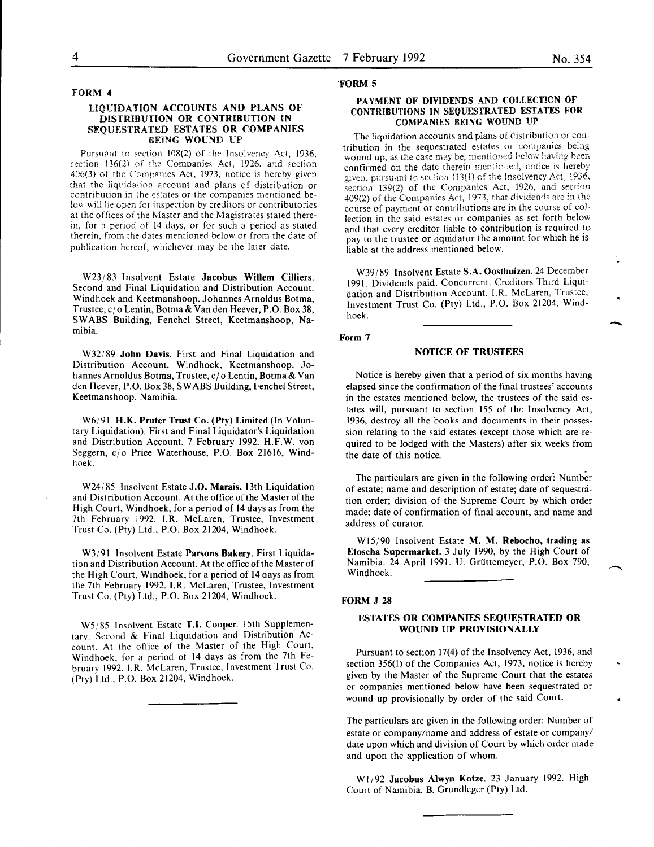## FORM 4

## LIQUIDATION ACCOUNTS AND PLANS OF DISTRIBUTION OR CONTRIBUTION IN SEQUESTRATED ESTATES OR COMPANIES BEiNG WOUND UP

Pursuant to section 108(2) of the Insolvency Act, 1936, section 136(2) of the Companies Act, 1926, and section 406(3) of the Companies Act, 1973, notice is hereby given that the liquidation account and plans of distribution or contribution in the estates or the companies mentioned below will lie open for inspection by creditors or contributories at the offices of the Master and the Magistrates stated therein, for a period of !4 days, or for such a period as stated therein, from the dates mentioned below or from the date of publication hereof, whichever may be the iater date.

W23/83 Insolvent Estate Jacobus Willem Cilliers. Second and Final Liquidation and Distribution Account. Windhoek and Keetmanshoop. Johannes Arnoldus Botma, Trustee, c/o Lentin, Botma& Van den Reever, P.O. Box 38, SWABS Building, Fenchel Street, Keetmanshoop, Namibia.

W32/89 John Davis. First and Final Liquidation and Distribution Account. Windhoek, Keetmanshoop. Johannes Arnoldus Botma, Trustee, c/o Lentin, Botma & Van den Reever, P.O. Box 38, SWABS Building, Fenchel Street, Keetmanshoop, Namibia.

W6/91 H.K. Pruter Trust Co. (Pty) Limited (In Voluntary Liquidation). First and Final Liquidator's Liquidation and Distribution Account. 7 February 1992. H.F.W. von Seggern, c/o Price Waterhouse, P.O. Box 21616, Windhoek.

W24/85 Insolvent Estate J.O. Marais. 13th Liquidation and Distribution Account. At the office of the Master of the High Court, Windhoek, for a period of 14 days as from the 7th February 1992. I.R. McLaren, Trustee, Investment Trust Co. (Pty) Ltd., P.O. Box 21204, Windhoek.

W3/91 Insolvent Estate Parsons Bakery. First Liquidation and Distribution Account. At the office of the Master of the High Court, Windhoek, for a period of 14 days as from the 7th February 1992. I.R. McLaren, Trustee, Investment Trust Co. (Pty) Ltd., P.O. Box 21204, Windhoek.

W5/85 Insolvent Estate T.I. Cooper. 15th Supplementary. Second & Final Liquidation and Distribution Account. At the office of the Master of the High Court, Windhoek, for a period of 14 days as from the 7th February 1992. I.R. McLaren, Trustee, Investment Trust Co. (Pty) Ltd., P.O. Box 21204, Windhoek.

#### 'FORM 5

## PAYMENT OF DIVIDENDS AND COLLECTION OF CONTRIBUTIONS IN SEQUESTRATED ESTATES FOR COMPANIES BEING WOUND UP

The liquidation accounts and plans of distribution or contribution in the sequestrated estates or companies being wound up, as the case may be, mentioned below having been confirmed on the date therein mentioned, notice is hereby given, pursuant to section 113(1) of the Insolvency Act, 1936. section 139(2) of the Companies Act, 1926, and section  $409(2)$  of the Companies Act, 1973, that dividends are in the course of payment or contributions are in the course of collection in the said estates or companies as set forth below and that every creditor liable to contribution is required to pay to the trustee or liquidator the amount for which he is liable at the address mentioned below.

W39/89 Insolvent Estate S.A. Oosthuizen. 24 December 1991. Dividends paid. Concurrent. Creditors Third Liquidation and Distribution Account. I.R. McLaren, Trustee, Investment Trust Co. (Pty) Ltd., P.O. Box 21204, Windhoek.

#### Form 7

## NOTICE OF TRUSTEES

Notice is hereby given that a period of six months having elapsed since the confirmation of the final trustees' accounts in the estates mentioned below, the trustees of the said estates will, pursuant to section 155 of the Insolvency Act, 1936, destroy all the books and documents in their possession relating to the said estates (except those which are required to be lodged with the Masters) after six weeks from the date of this notice.

The particulars are given in the following order: Number of estate; name and description of estate; date of sequestration order; division of the Supreme Court by which order made; date of confirmation of final account, and name and address of curator.

WIS/90 Insolvent Estate M. M. Rebocho, trading as Etoscha Supermarket. 3 July 1990, by the High Court of Namibia. 24 April 1991. U. Griittemeyer, P.O. Box 790, Windhoek.

#### FORM J 28

## ESTATES OR COMPANIES SEQUESTRATED OR WOUND UP PROVISIONALLY

Pursuant to section 17(4) of the Insolvency Act, 1936, and section 356(1) of the Companies Act, 1973, notice is hereby given by the Master of the Supreme Court that the estates or companies mentioned below have been sequestrated or wound up provisionally by order of the said Court.

The particulars are given in the following order: Number of estate or company/name and address of estate or company/ date upon which and division of Court by which order made and upon the application of whom.

W1/92 Jacobus Alwyn Kotze. 23 January 1992. High Court of Namibia. B. Grundleger (Pty) Ltd.

-<br>-<br>-<br>-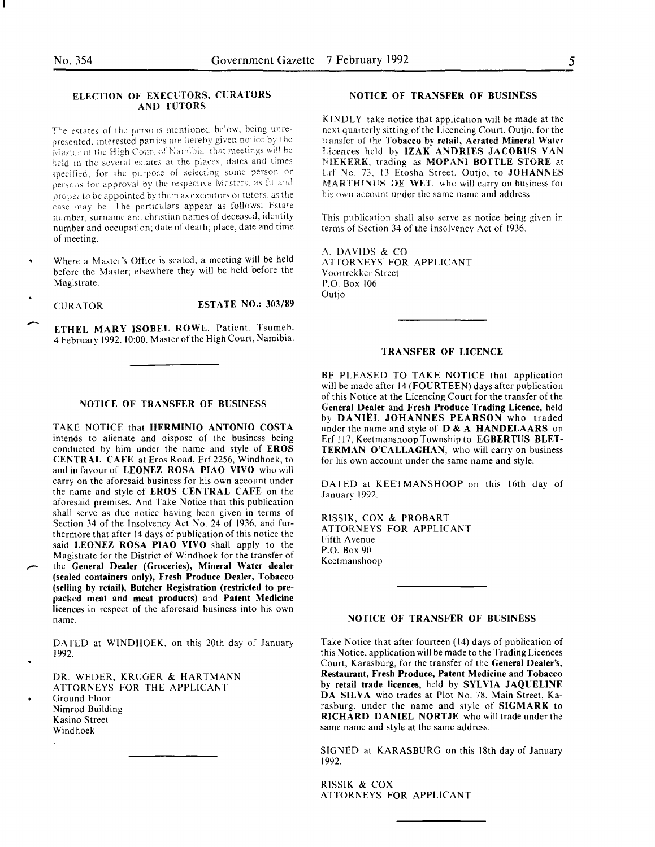## *5*

## ELECTION OF EXECUTORS, CURATORS AND TUTORS

The estates of the persons mentioned below, being unrepresented, interested parties are hereby given notice by the Master of the High Court of Namibia, that meetings will be held in the several estates at the places, dates and times specified. for the purpose of selecting some person or persons for approval by the respective Masters, as fit and proper to be appointed by them as executors or tutors, as the case may be. The particulars appear as follows: Estate number, surname and christian names of deceased, identity number and occupation; date of death; place, date and time of meeting.

Where a Master's Office is seated, a meeting will be held before the Master; elsewhere they will be held before the Magistrate.

 $\overline{\phantom{a}}$ 

CURATOR ESTATE NO.: 303/89

ETHEL MARY ISOBEL ROWE. Patient. Tsumeb. 4 February 1992. 10:00. Master of the High Court, Namibia.

#### NOTICE OF TRANSFER OF BUSINESS

TAKE NOTICE that HERMINIO ANTONIO COSTA intends to alienate and dispose of the business being conducted by him under the name and style of EROS CENTRAl, CAFE at Eros Road, Erf 2256, Windhoek, to and in favour of LEONEZ ROSA PIAO VIVO who will carry on the aforesaid business for his own account under the name and style of EROS CENTRAL CAFE on the aforesaid premises. And Take Notice that this publication shall serve as due notice having been given in terms of Section 34 of the Insolvency Act No. 24 of 1936, and furthermore that after 14 days of publication of this notice the said LEONEZ ROSA PIAO VIVO shall apply to the Magistrate for the District of Windhoek for the transfer of the General Dealer (Groceries), Mineral Water dealer (sealed containers only), Fresh Produce Dealer, Tobacco (selling by retail), Butcher Registration (restricted to prepacked meat and meat products) and Patent Medicine licences in respect of the aforesaid business into his own name.

DATED at WINDHOEK, on this 20th day of January 1992.

DR. WEDER, KRUGER & HARTMANN ATTORNEYS FOR THE APPLICANT Ground Floor Nimrod Building Kasino Street Windhoek

### NOTICE OF TRANSFER OF BUSINESS

KINDLY take notice that application will be made at the next quarterly sitting of the Licencing Court, Outjo, for the transfer of the Tobacco by retail, Aerated Mineral Water Licences held by IZAK ANDRIES JACOBUS VAN NIEKERK, trading as MOPANI BOTTLE STORE at Erf No. 73, 13 Etosha Street, Outjo, to JOHANNES MARTHINUS DE WET, who will carry on business for his own account under the same name and address.

This publication shall also serve as notice being given in terms of Section 34 of the Insolvency Act of 1936\_

A. DAVIDS & CO ATTORNEYS FOR APPLICANT Voortrekker Street P.O. Box 106 Outjo

## TRANSFER OF LICENCE

BE PLEASED TO TAKE NOTICE that application will be made after 14 (FOURTEEN) days after publication of this Notice at the Licencing Court for the transfer of the General Dealer and Fresh Produce Trading Licence, held by DANIEL JOHANNES PEARSON who traded under the name and style of D & A HANDELAARS on Erf ll7, Keetmanshoop Township to EGBERTUS BLET-TERMAN O'CALLAGHAN, who will carry on business for his own account under the same name and style.

DATED at KEETMANSHOOP on this 16th day of January 1992.

RlSSIK, COX & PROBART ATTORNEYS FOR APPLICANT Fifth A venue P.O. Box 90 Keetmanshoop

### NOTICE OF TRANSFER OF BUSINESS

Take Notice that after fourteen (14) days of publication of this Notice, application will be made to the Trading Licences Court, Karasburg, for the transfer of the General Dealer's, Restaurant, Fresh Produce, Patent Medicine and Tobacco by retail trade licences, held by SYLVIA JAQUELINE DA SILVA who trades at Plot No. 78, Main Street, Karasburg, under the name and style of SIGMARK to RICHARD DANIEL NORTJE who will trade under the same name and style at the same address.

SIGNED at KARASBURG on this 18th day of January 1992.

RISSIK & COX ATTORNEYS FOR APPLICANT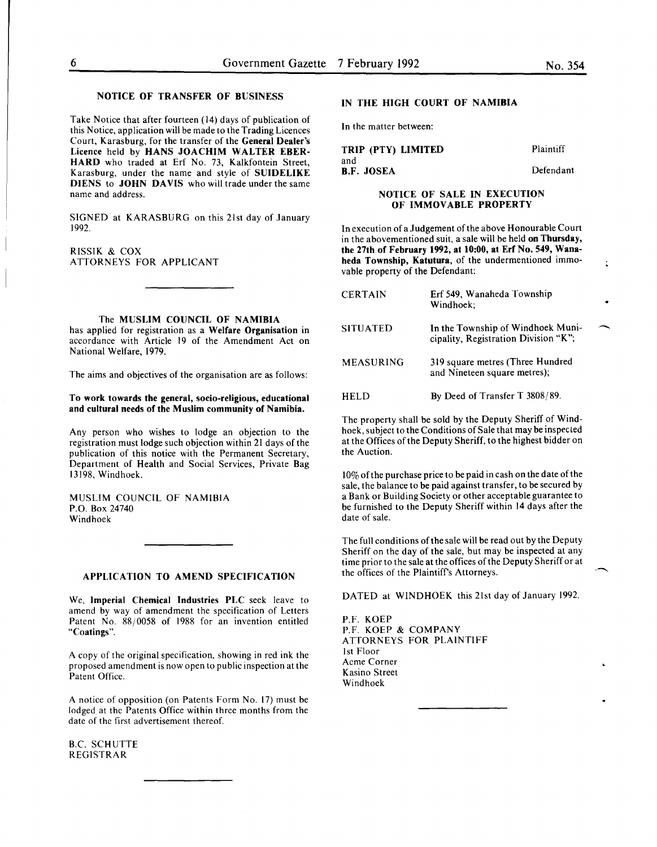Take Notice that after fourteen (14) days of publication of this Notice, application will be made to the Trading Licences Court, Karasburg, for the transfer of the General Dealer's Licence held by HANS JOACHIM WALTER EBER-HARD who traded at Erf No. 73, Kalkfontein Street, Karasburg, under the name and style of SUIDELIKE DIENS to JOHN DAVIS who will trade under the same name and address.

SIGNED at KARASBURG on this 21st day of January 1992.

RISSIK & COX ATTORNEYS FOR APPLICANT

#### The MUSLIM COUNCIL OF NAMIBIA

has applied for registration as a Welfare Organisation in accordance with Article 19 of the Amendment Act on National Welfare, 1979.

The aims and objectives of the organisation are as follows:

#### To work towards the general, socio-religious, educational and cultural needs of the Muslim community of Namibia.

Any person who wishes to lodge an objection to the registration must lodge such objection within 21 days of the publication of this notice with the Permanent Secretary, Department of Health and Social Services, Private Bag 13198, Windhoek.

MUSLIM COUNCIL OF NAMIBIA P.O. Box 24740 Windhoek

## APPLICATION TO AMEND SPECIFICATION

We, Imperial Chemical Industries PLC seek leave to amend by way of amendment the specification of Letters Patent No. 88/0058 of 1988 for an invention entitled "Coatings".

A copy of the original specification, showing in red ink the proposed amendment is now open to public inspection at the Patent Office.

A notice of opposition (on Patents Form No. 17) must be lodged at the Patents Office within three months from the date of the first advertisement thereof.

B.C. SCHUTTE REGISTRAR

## IN THE HIGH COURT OF NAMIBIA

In the matter between:

| TRIP (PTY) LIMITED       | Plaintiff |
|--------------------------|-----------|
| and<br><b>B.F. JOSEA</b> | Defendant |

## NOTICE OF SALE IN EXECUTION OF IMMOVABLE PROPERTY

In execution of a Judgement of the above Honourable Court in the abovementioned suit, a sale will be held on Thursday, the 27th of February 1992, at 10:00, at Erf No. 549, Wanaheda Township, Katutura, of the undermentioned immovable property of the Defendant:

| <b>CERTAIN</b>   | Erf 549, Wanaheda Township<br>Windhoek:                                   |  |
|------------------|---------------------------------------------------------------------------|--|
| <b>SITUATED</b>  | In the Township of Windhoek Muni-<br>cipality, Registration Division "K"; |  |
| <b>MEASURING</b> | 319 square metres (Three Hundred<br>and Nineteen square metres);          |  |
| <b>HELD</b>      | By Deed of Transfer T $3808/89$ .                                         |  |

The property shall be sold by the Deputy Sheriff of Windhoek, subject to the Conditions of Sale that may be inspected at the Offices of the Deputy Sheriff, to the highest bidder on the Auction.

10% of the purchase price to be paid in cash on the date of the sale, the balance to be paid against transfer, to be secured by a Bank or Building Society or other acceptable guarantee to be furnished to the Deputy Sheriff within 14 days after the date of sale.

The full conditions of the sale will be read out by the Deputy Sheriff on the day of the sale, but may be inspected at any time prior to the sale at the offices of the Deputy Sheriff or at the offices of the Plaintiff's Attorneys.

DATED at WINDHOEK this 21st day of January 1992.

P.F. KOEP P.F. KOEP & COMPANY ATTORNEYS FOR PLAINTIFF 1st Floor Acme Corner Kasino Street Windhoek

÷